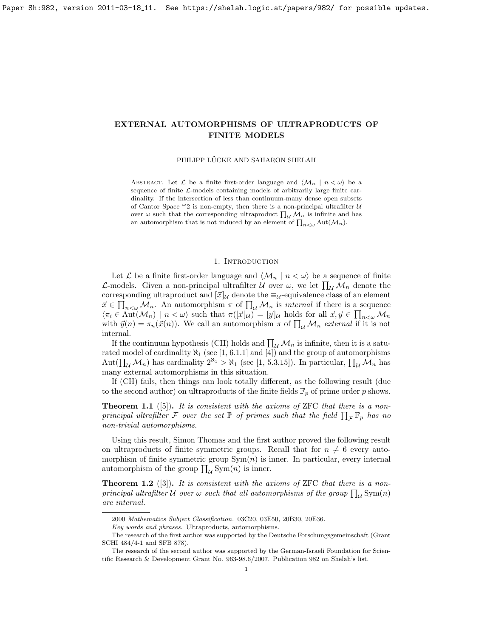# <span id="page-0-0"></span>EXTERNAL AUTOMORPHISMS OF ULTRAPRODUCTS OF FINITE MODELS

PHILIPP LÜCKE AND SAHARON SHELAH

ABSTRACT. Let  $\mathcal L$  be a finite first-order language and  $\langle \mathcal M_n | n < \omega \rangle$  be a sequence of finite  $\mathcal{L}$ -models containing models of arbitrarily large finite cardinality. If the intersection of less than continuum-many dense open subsets of Cantor Space  $\omega_2$  is non-empty, then there is a non-principal ultrafilter U over  $\omega$  such that the corresponding ultraproduct  $\prod_{\mathcal{U}}\mathcal{M}_n$  is infinite and has an automorphism that is not induced by an element of  $\prod_{n<\omega} \text{Aut}(\mathcal{M}_n)$ .

# 1. INTRODUCTION

Let  $\mathcal L$  be a finite first-order language and  $\langle \mathcal M_n | n < \omega \rangle$  be a sequence of finite *L*-models. Given a non-principal ultrafilter  $U$  over  $\omega$ , we let  $\prod_{\mathcal{U}}\mathcal{M}_n$  denote the corresponding ultraproduct and  $[\vec{x}]$ <sub>U</sub> denote the  $\equiv$ <sub>U</sub>-equivalence class of an element  $\vec{x} \in \prod_{n<\omega} M_n$ . An automorphism  $\pi$  of  $\prod_{\mathcal{U}} \mathcal{M}_n$  is *internal* if there is a sequence  $\langle \pi_i \in \text{Aut}(\mathcal{M}_n) \mid n < \omega \rangle$  such that  $\pi([\vec{x}]_{\mathcal{U}}) = [\vec{y}]_{\mathcal{U}}$  holds for all  $\vec{x}, \vec{y} \in \prod_{n < \omega} \mathcal{M}_n$ with  $\vec{y}(n) = \pi_n(\vec{x}(n))$ . We call an automorphism  $\pi$  of  $\prod_{\mathcal{U}} M_n$  external if it is not internal.

If the continuum hypothesis (CH) holds and  $\prod_{\mathcal{U}} \mathcal{M}_n$  is infinite, then it is a saturated model of cardinality  $\aleph_1$  (see [\[1,](#page-6-0) 6.1.1] and [\[4\]](#page-6-1)) and the group of automorphisms Aut $(\prod_{\mathcal{U}}\mathcal{M}_n)$  has cardinality  $2^{\aleph_1} > \aleph_1$  (see [\[1,](#page-6-0) 5.3.15]). In particular,  $\prod_{\mathcal{U}}\mathcal{M}_n$  has many external automorphisms in this situation.

If (CH) fails, then things can look totally different, as the following result (due to the second author) on ultraproducts of the finite fields  $\mathbb{F}_p$  of prime order p shows.

**Theorem 1.1** ([\[5\]](#page-6-2)). It is consistent with the axioms of ZFC that there is a nonprincipal ultrafilter  $\mathcal F$  over the set  $\mathbb P$  of primes such that the field  $\prod_{\mathcal F} \mathbb F_p$  has no non-trivial automorphisms.

Using this result, Simon Thomas and the first author proved the following result on ultraproducts of finite symmetric groups. Recall that for  $n \neq 6$  every automorphism of finite symmetric group  $Sym(n)$  is inner. In particular, every internal automorphism of the group  $\prod_{\mathcal{U}} \text{Sym}(n)$  is inner.

**Theorem 1.2** ([\[3\]](#page-6-3)). It is consistent with the axioms of ZFC that there is a nonprincipal ultrafilter U over  $\omega$  such that all automorphisms of the group  $\prod_{\mathcal{U}} \mathrm{Sym}(n)$ are internal.

<sup>2000</sup> Mathematics Subject Classification. 03C20, 03E50, 20B30, 20E36.

Key words and phrases. Ultraproducts, automorphisms.

The research of the first author was supported by the Deutsche Forschungsgemeinschaft (Grant SCHI 484/4-1 and SFB 878).

The research of the second author was supported by the German-Israeli Foundation for Scientific Research & Development Grant No. 963-98.6/2007. Publication 982 on Shelah's list.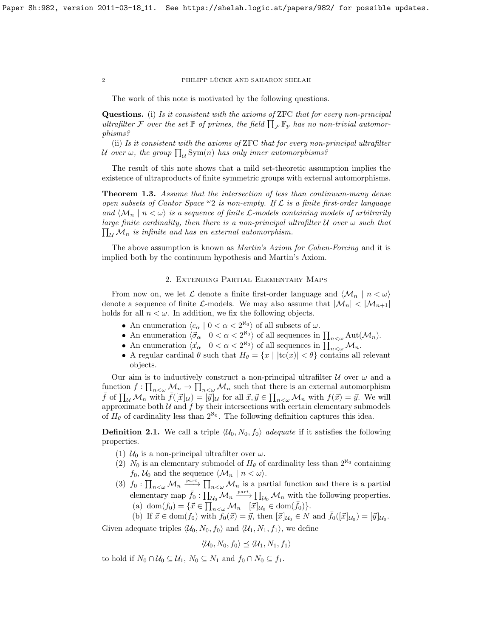#### 2 PHILIPP LÜCKE AND SAHARON SHELAH

The work of this note is motivated by the following questions.

Questions. (i) Is it consistent with the axioms of ZFC that for every non-principal ultrafilter F over the set  $\mathbb P$  of primes, the field  $\prod_{\mathcal F} \mathbb F_p$  has no non-trivial automorphisms?

(ii) Is it consistent with the axioms of ZFC that for every non-principal ultrafilter U over  $\omega$ , the group  $\prod_{\mathcal{U}} {\rm Sym}(n)$  has only inner automorphisms?

The result of this note shows that a mild set-theoretic assumption implies the existence of ultraproducts of finite symmetric groups with external automorphisms.

<span id="page-1-1"></span>Theorem 1.3. Assume that the intersection of less than continuum-many dense open subsets of Cantor Space  $\omega_2$  is non-empty. If  $\mathcal L$  is a finite first-order language and  $\langle \mathcal{M}_n | n < \omega \rangle$  is a sequence of finite *L*-models containing models of arbitrarily  $\prod_{\mathcal{U}}\mathcal{M}_n$  is infinite and has an external automorphism. large finite cardinality, then there is a non-principal ultrafilter  $U$  over  $\omega$  such that

The above assumption is known as *Martin's Axiom for Cohen-Forcing* and it is implied both by the continuum hypothesis and Martin's Axiom.

#### 2. Extending Partial Elementary Maps

From now on, we let L denote a finite first-order language and  $\langle \mathcal{M}_n | n \langle \omega \rangle$ denote a sequence of finite L-models. We may also assume that  $|\mathcal{M}_n| < |\mathcal{M}_{n+1}|$ holds for all  $n < \omega$ . In addition, we fix the following objects.

- An enumeration  $\langle c_{\alpha} | 0 < \alpha < 2^{\aleph_0} \rangle$  of all subsets of  $\omega$ .
- An enumeration  $\langle \vec{\sigma}_{\alpha} | 0 < \alpha < 2^{\aleph_0} \rangle$  of all sequences in  $\prod_{n<\omega} \text{Aut}(\mathcal{M}_n)$ .
- An enumeration  $\langle \vec{x}_{\alpha} \mid 0 < \alpha < 2^{\aleph_0} \rangle$  of all sequences in  $\prod_{n<\omega} M_n$ .
- A regular cardinal  $\theta$  such that  $H_{\theta} = \{x \mid |tc(x)| < \theta\}$  contains all relevant objects.

Our aim is to inductively construct a non-principal ultrafilter  $\mathcal U$  over  $\omega$  and a function  $f: \prod_{n<\omega} M_n \to \prod_{n<\omega} M_n$  such that there is an external automorphism  $\bar{f}$  of  $\prod_{\mathcal{U}} \mathcal{M}_n$  with  $\bar{f}([\vec{x}]_{\mathcal{U}}) = [\vec{y}]_{\mathcal{U}}$  for all  $\vec{x}, \vec{y} \in \prod_{n < \omega} \mathcal{M}_n$  with  $f(\vec{x}) = \vec{y}$ . We will approximate both  $U$  and  $f$  by their intersections with certain elementary submodels of  $H_{\theta}$  of cardinality less than  $2^{\aleph_0}$ . The following definition captures this idea.

<span id="page-1-0"></span>**Definition 2.1.** We call a triple  $\langle \mathcal{U}_0, N_0, f_0 \rangle$  *adequate* if it satisfies the following properties.

- (1)  $U_0$  is a non-principal ultrafilter over  $\omega$ .
- (2)  $N_0$  is an elementary submodel of  $H_\theta$  of cardinality less than  $2^{\aleph_0}$  containing  $f_0, \mathcal{U}_0$  and the sequence  $\langle \mathcal{M}_n | n < \omega \rangle$ .
- (3)  $f_0: \prod_{n<\omega} \mathcal{M}_n \xrightarrow{part} \prod_{n<\omega} \mathcal{M}_n$  is a partial function and there is a partial elementary map  $\bar{f}_0$  :  $\prod_{\mathcal{U}_0} \mathcal{M}_n \xrightarrow{part} \prod_{\mathcal{U}_0} \mathcal{M}_n$  with the following properties. (a) dom $(f_0) = {\overline{x}} \in \prod_{n<\omega}^{\infty} \mathcal{M}_n \mid [{\overline{x}}]_{U_0}^{\infty} \in \text{dom}({\overline{f}_0})$ .
	- (b) If  $\vec{x} \in \text{dom}(f_0)$  with  $f_0(\vec{x}) = \vec{y}$ , then  $[\vec{x}]_{U_0} \in N$  and  $\bar{f}_0([\vec{x}]_{U_0}) = [\vec{y}]_{U_0}$ .

Given adequate triples  $\langle \mathcal{U}_0, N_0, f_0 \rangle$  and  $\langle \mathcal{U}_1, N_1, f_1 \rangle$ , we define

$$
\langle \mathcal{U}_0, N_0, f_0 \rangle \preceq \langle \mathcal{U}_1, N_1, f_1 \rangle
$$

to hold if  $N_0 \cap \mathcal{U}_0 \subseteq \mathcal{U}_1$ ,  $N_0 \subseteq N_1$  and  $f_0 \cap N_0 \subseteq f_1$ .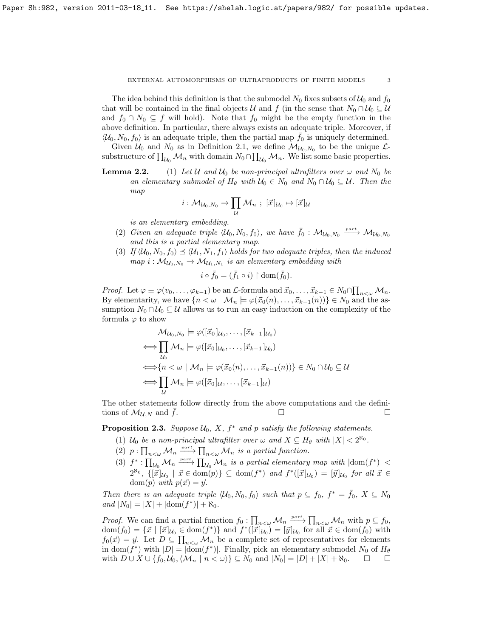#### EXTERNAL AUTOMORPHISMS OF ULTRAPRODUCTS OF FINITE MODELS 3

The idea behind this definition is that the submodel  $N_0$  fixes subsets of  $\mathcal{U}_0$  and  $f_0$ that will be contained in the final objects U and f (in the sense that  $N_0 \cap U_0 \subseteq U$ and  $f_0 \cap N_0 \subseteq f$  will hold). Note that  $f_0$  might be the empty function in the above definition. In particular, there always exists an adequate triple. Moreover, if  $\langle U_0, N_0, f_0 \rangle$  is an adequate triple, then the partial map  $f_0$  is uniquely determined.

Given  $U_0$  and  $N_0$  as in Definition [2.1,](#page-1-0) we define  $\mathcal{M}_{U_0,N_0}$  to be the unique  $\mathcal{L}$ substructure of  $\prod_{\mathcal{U}_0} \mathcal{M}_n$  with domain  $N_0 \cap \prod_{\mathcal{U}_0} \mathcal{M}_n$ . We list some basic properties.

**Lemma 2.2.** (1) Let U and  $U_0$  be non-principal ultrafilters over  $\omega$  and  $N_0$  be an elementary submodel of  $H_{\theta}$  with  $\mathcal{U}_0 \in N_0$  and  $N_0 \cap \mathcal{U}_0 \subseteq \mathcal{U}$ . Then the map

$$
i:\mathcal{M}_{\mathcal{U}_0,N_0}\to\prod_{\mathcal{U}}\mathcal{M}_n\,;\;[\vec{x}]_{\mathcal{U}_0}\mapsto[\vec{x}]_{\mathcal{U}}
$$

is an elementary embedding.

- (2) Given an adequate triple  $\langle U_0, N_0, f_0 \rangle$ , we have  $\bar{f}_0$  :  $\mathcal{M}_{\mathcal{U}_0, N_0} \xrightarrow{\text{part}} \mathcal{M}_{\mathcal{U}_0, N_0}$ and this is a partial elementary map.
- (3) If  $\langle \mathcal{U}_0, N_0, f_0 \rangle \preceq \langle \mathcal{U}_1, N_1, f_1 \rangle$  holds for two adequate triples, then the induced  $map\ i: \mathcal{M}_{\mathcal{U}_0, N_0} \to \mathcal{M}_{\mathcal{U}_1, N_1}$  is an elementary embedding with

$$
i \circ \bar{f}_0 = (\bar{f}_1 \circ i) \restriction \text{dom}(\bar{f}_0).
$$

*Proof.* Let  $\varphi \equiv \varphi(v_0, \ldots, \varphi_{k-1})$  be an  $\mathcal L$ -formula and  $\vec{x}_0, \ldots, \vec{x}_{k-1} \in N_0 \cap \prod_{n < \omega} \mathcal M_n$ . By elementarity, we have  $\{n < \omega \mid \mathcal{M}_n \models \varphi(\vec{x}_0(n), \dots, \vec{x}_{k-1}(n))\} \in N_0$  and the assumption  $N_0 \cap U_0 \subseteq U$  allows us to run an easy induction on the complexity of the formula  $\varphi$  to show

$$
\mathcal{M}_{\mathcal{U}_0, N_0} \models \varphi([\vec{x}_0]_{\mathcal{U}_0}, \dots, [\vec{x}_{k-1}]_{\mathcal{U}_0})
$$
\n
$$
\iff \prod_{\mathcal{U}_0} \mathcal{M}_n \models \varphi([\vec{x}_0]_{\mathcal{U}_0}, \dots, [\vec{x}_{k-1}]_{\mathcal{U}_0})
$$
\n
$$
\iff \{n < \omega \mid \mathcal{M}_n \models \varphi(\vec{x}_0(n), \dots, \vec{x}_{k-1}(n))\} \in N_0 \cap \mathcal{U}_0 \subseteq \mathcal{U}
$$
\n
$$
\iff \prod_{\mathcal{U}} \mathcal{M}_n \models \varphi([\vec{x}_0]_{\mathcal{U}}, \dots, [\vec{x}_{k-1}]_{\mathcal{U}})
$$

The other statements follow directly from the above computations and the definitions of  $\mathcal{M}_{\mathcal{U},N}$  and  $\bar{f}$ .

<span id="page-2-0"></span>**Proposition 2.3.** Suppose  $\mathcal{U}_0$ , X,  $f^*$  and p satisfy the following statements.

- (1)  $\mathcal{U}_0$  be a non-principal ultrafilter over  $\omega$  and  $X \subseteq H_\theta$  with  $|X| < 2^{\aleph_0}$ .
- (2)  $p: \prod_{n<\omega} \mathcal{M}_n \xrightarrow{part} \prod_{n<\omega} \mathcal{M}_n$  is a partial function.
- (3)  $f^* : \prod_{\mathcal{U}_0} \mathcal{M}_n \xrightarrow{\text{part}} \prod_{\mathcal{U}_0} \mathcal{M}_n$  is a partial elementary map with  $|\text{dom}(f^*)|$  $2^{\aleph_0}$ ,  $\{[\vec{x}]_{\mathcal{U}_0} \mid \vec{x} \in \text{dom}(p)\} \subseteq \text{dom}(f^*)$  and  $f^*([\vec{x}]_{\mathcal{U}_0}) = [\vec{y}]_{\mathcal{U}_0}$  for all  $\vec{x} \in$ dom(p) with  $p(\vec{x}) = \vec{y}$ .

Then there is an adequate triple  $\langle \mathcal{U}_0, N_0, f_0 \rangle$  such that  $p \subseteq f_0$ ,  $f^* = \bar{f}_0$ ,  $X \subseteq N_0$ and  $|N_0| = |X| + |\text{dom}(f^*)| + \aleph_0$ .

*Proof.* We can find a partial function  $f_0: \prod_{n<\omega} M_n \xrightarrow{part} \prod_{n<\omega} M_n$  with  $p \subseteq f_0$ ,  $dom(f_0) = {\vec{x} \mid [\vec{x}]_{\mathcal{U}_0} \in dom(f^*)}$  and  $f^*([\vec{x}]_{\mathcal{U}_0}) = [\vec{y}]_{\mathcal{U}_0}$  for all  $\vec{x} \in dom(f_0)$  with  $f_0(\vec{x}) = \vec{y}$ . Let  $D \subseteq \prod_{n<\omega} M_n$  be a complete set of representatives for elements in dom( $f^*$ ) with  $|D| = |dom(f^*)|$ . Finally, pick an elementary submodel  $N_0$  of  $H_\theta$ with  $D \cup X \cup \{f_0,\mathcal{U}_0,\{\mathcal{M}_n \mid n < \omega\}\}\subseteq N_0$  and  $|N_0| = |D| + |X| + \aleph_0$ .  $\square$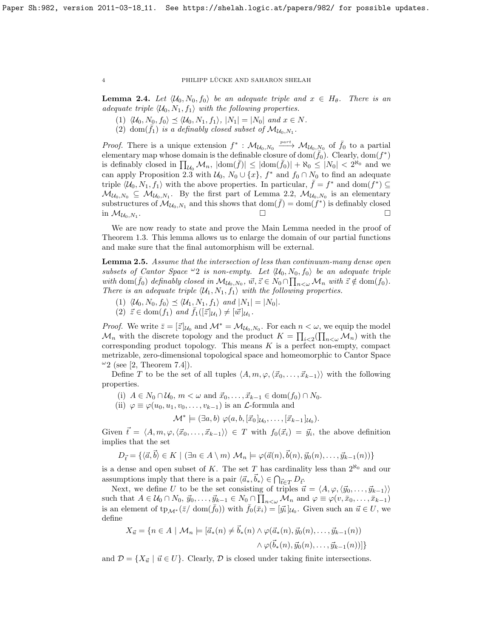## 4 PHILIPP LÜCKE AND SAHARON SHELAH

<span id="page-3-1"></span>**Lemma 2.4.** Let  $\langle \mathcal{U}_0, N_0, f_0 \rangle$  be an adequate triple and  $x \in H_\theta$ . There is an adequate triple  $\langle \mathcal{U}_0, N_1, f_1 \rangle$  with the following properties.

- (1)  $\langle \mathcal{U}_0, N_0, f_0 \rangle \preceq \langle \mathcal{U}_0, N_1, f_1 \rangle, |N_1| = |N_0|$  and  $x \in N$ .
- (2) dom $(\bar{f}_1)$  is a definably closed subset of  $\mathcal{M}_{\mathcal{U}_0,N_1}$ .

*Proof.* There is a unique extension  $f^* : \mathcal{M}_{\mathcal{U}_0, N_0} \xrightarrow{part} \mathcal{M}_{\mathcal{U}_0, N_0}$  of  $f_0$  to a partial elementary map whose domain is the definable closure of  $\text{dom}(\bar{f}_0)$ . Clearly,  $\text{dom}(f^*)$ is definably closed in  $\prod_{\mathcal{U}_0} \mathcal{M}_n$ ,  $|\text{dom}(\bar{f})| \leq |\text{dom}(\bar{f}_0)| + \aleph_0 \leq |N_0| < 2^{\aleph_0}$  and we can apply Proposition [2.3](#page-2-0) with  $\mathcal{U}_0$ ,  $N_0 \cup \{x\}$ ,  $f^*$  and  $f_0 \cap N_0$  to find an adequate triple  $\langle \mathcal{U}_0, N_1, f_1 \rangle$  with the above properties. In particular,  $\bar{f} = f^*$  and  $\text{dom}(\bar{f}^*) \subseteq$  $M_{\mathcal{U}_0, N_0} \subseteq M_{\mathcal{U}_0, N_1}$ . By the first part of Lemma [2.2,](#page-0-0)  $M_{\mathcal{U}_0, N_0}$  is an elementary substructures of  $\mathcal{M}_{\mathcal{U}_0, N_1}$  and this shows that  $\text{dom}(\bar{f}) = \text{dom}(f^*)$  is definably closed in  $\mathcal{M}_{\mathcal{U}_0,N_1}$ . . В процесс в процесс в процесс в села в села в села в села в села в села в села в села в села в села в села в<br>В села в села в села в села в села в села в села в села в села в села в села в села в села в села в села в сел

We are now ready to state and prove the Main Lemma needed in the proof of Theorem [1.3.](#page-1-1) This lemma allows us to enlarge the domain of our partial functions and make sure that the final automorphism will be external.

<span id="page-3-0"></span>Lemma 2.5. Assume that the intersection of less than continuum-many dense open subsets of Cantor Space  $\omega_2$  is non-empty. Let  $\langle \mathcal{U}_0, N_0, f_0 \rangle$  be an adequate triple with dom $(\bar{f}_0)$  definably closed in  $\mathcal{M}_{\mathcal{U}_0,N_0}$ ,  $\vec{w}, \vec{z} \in N_0 \cap \prod_{n < \omega} \mathcal{M}_n$  with  $\vec{z} \notin \text{dom}(f_0)$ . There is an adequate triple  $\langle \mathcal{U}_1, N_1, f_1 \rangle$  with the following properties.

- (1)  $\langle \mathcal{U}_0, N_0, f_0 \rangle \preceq \langle \mathcal{U}_1, N_1, f_1 \rangle$  and  $|N_1| = |N_0|$ .
- $(2)$   $\vec{z} \in \text{dom}(f_1)$  and  $\overline{f_1}([\vec{z}]_{\mathcal{U}_1}) \neq [\vec{w}]_{\mathcal{U}_1}$ .

*Proof.* We write  $\bar{z} = [\bar{z}]_{\mathcal{U}_0}$  and  $\mathcal{M}^* = \mathcal{M}_{\mathcal{U}_0, N_0}$ . For each  $n < \omega$ , we equip the model  $\mathcal{M}_n$  with the discrete topology and the product  $K = \prod_{i \leq 2} (\prod_{n \leq \omega} \mathcal{M}_n)$  with the corresponding product topology. This means  $K$  is a perfect non-empty, compact metrizable, zero-dimensional topological space and homeomorphic to Cantor Space  $\omega_2$  (see [\[2,](#page-6-4) Theorem 7.4]).

Define T to be the set of all tuples  $\langle A, m, \varphi, \langle \vec{x}_0, \ldots, \vec{x}_{k-1} \rangle$  with the following properties.

- (i)  $A \in N_0 \cap \mathcal{U}_0, m < \omega \text{ and } \vec{x}_0, \ldots, \vec{x}_{k-1} \in \text{dom}(f_0) \cap N_0.$
- (ii)  $\varphi \equiv \varphi(u_0, u_1, v_0, \ldots, v_{k-1})$  is an  $\mathcal{L}$ -formula and

$$
\mathcal{M}^* \models (\exists a, b) \; \varphi(a, b, [\vec{x}_0]_{\mathcal{U}_0}, \ldots, [\vec{x}_{k-1}]_{\mathcal{U}_0}).
$$

Given  $\vec{t} = \langle A, m, \varphi, \langle \vec{x}_0, \ldots, \vec{x}_{k-1} \rangle \rangle \in T$  with  $f_0(\vec{x}_i) = \vec{y}_i$ , the above definition implies that the set

$$
D_{\vec{t}} = \{ \langle \vec{a}, \vec{b} \rangle \in K \mid (\exists n \in A \setminus m) \mathcal{M}_n \models \varphi(\vec{a}(n), \vec{b}(n), \vec{y}_0(n), \dots, \vec{y}_{k-1}(n)) \}
$$

is a dense and open subset of K. The set T has cardinality less than  $2^{\aleph_0}$  and our assumptions imply that there is a pair  $\langle \vec{a}_*, \vec{b}_* \rangle \in \bigcap_{\vec{t} \in T} D_{\vec{t}}$ .

Next, we define U to be the set consisting of triples  $\vec{u} = \langle A, \varphi, \langle \vec{y}_0, \dots, \vec{y}_{k-1} \rangle \rangle$ such that  $A \in \mathcal{U}_0 \cap N_0$ ,  $\vec{y}_0, \ldots, \vec{y}_{k-1} \in N_0 \cap \prod_{n < \omega} \mathcal{M}_n$  and  $\varphi \equiv \varphi(v, \bar{x}_0, \ldots, \bar{x}_{k-1})$ is an element of  $tp_{\mathcal{M}^*}(\bar{z}/\text{ dom}(\bar{f}_0))$  with  $\bar{f}_0(\bar{x}_i) = [\bar{y}_i]_{\mathcal{U}_0}$ . Given such an  $\vec{u} \in U$ , we define

$$
X_{\vec{u}} = \{ n \in A \mid \mathcal{M}_n \models [\vec{a}_*(n) \neq \vec{b}_*(n) \land \varphi(\vec{a}_*(n), \vec{y}_0(n), \dots, \vec{y}_{k-1}(n)) \land \varphi(\vec{b}_*(n), \vec{y}_0(n), \dots, \vec{y}_{k-1}(n)) ] \}
$$

and  $\mathcal{D} = \{X_{\vec{u}} \mid \vec{u} \in U\}$ . Clearly,  $\mathcal{D}$  is closed under taking finite intersections.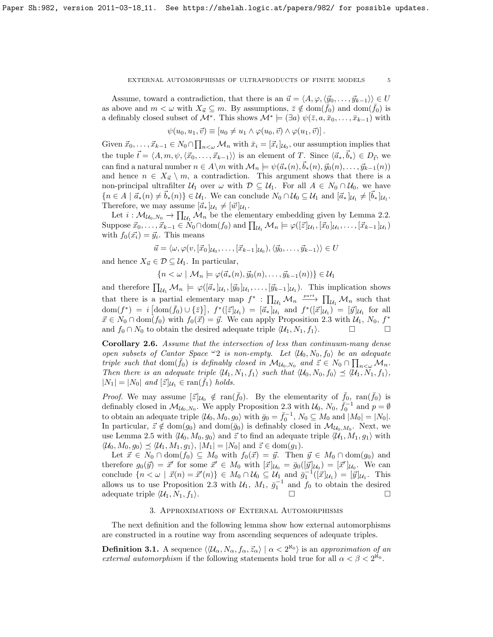#### EXTERNAL AUTOMORPHISMS OF ULTRAPRODUCTS OF FINITE MODELS  $\qquad \quad \ \ \, 5$

Assume, toward a contradiction, that there is an  $\vec{u} = \langle A, \varphi, \langle \vec{y}_0, \dots, \vec{y}_{k-1} \rangle \rangle \in U$ as above and  $m < \omega$  with  $X_{\vec{u}} \subseteq m$ . By assumptions,  $\bar{z} \notin \text{dom}(f_0)$  and  $\text{dom}(f_0)$  is a definably closed subset of  $\mathcal{M}^*$ . This shows  $\mathcal{M}^* \models (\exists a) \psi(\bar{z}, a, \bar{x}_0, \dots, \bar{x}_{k-1})$  with

$$
\psi(u_0, u_1, \vec{v}) \equiv [u_0 \neq u_1 \wedge \varphi(u_0, \vec{v}) \wedge \varphi(u_1, \vec{v})].
$$

Given  $\vec{x}_0, \ldots, \vec{x}_{k-1} \in N_0 \cap \prod_{n \lt \omega} M_n$  with  $\bar{x}_i = [\vec{x}_i]_{U_0}$ , our assumption implies that the tuple  $\vec{t} = \langle A, m, \psi, \langle \vec{x}_0, \ldots, \vec{x}_{k-1} \rangle \rangle$  is an element of T. Since  $\langle \vec{a}_*, \vec{b}_* \rangle \in D_{\vec{t}}$ , we can find a natural number  $n \in A \backslash m$  with  $\mathcal{M}_n \models \psi(\vec{a}_*(n), \vec{b}_*(n), \vec{y}_0(n), \dots, \vec{y}_{k-1}(n))$ and hence  $n \in X_{\vec{u}} \setminus m$ , a contradiction. This argument shows that there is a non-principal ultrafilter  $U_1$  over  $\omega$  with  $\mathcal{D} \subseteq U_1$ . For all  $A \in N_0 \cap U_0$ , we have  ${n \in A \mid \vec{a}_*(n) \neq \vec{b}_*(n)} \in \mathcal{U}_1$ . We can conclude  $N_0 \cap \mathcal{U}_0 \subseteq \mathcal{U}_1$  and  $[\vec{a}_*]_{\mathcal{U}_1} \neq [\vec{b}_*]_{\mathcal{U}_1}$ . Therefore, we may assume  $[\vec{a}_*]_{U_1} \neq [\vec{w}]_{U_1}$ .

Let  $i: \mathcal{M}_{\mathcal{U}_0, N_0} \to \prod_{\mathcal{U}_1} \mathcal{M}_n$  be the elementary embedding given by Lemma [2.2.](#page-0-0) Suppose  $\vec{x}_0, \ldots, \vec{x}_{k-1} \in N_0 \cap \text{dom}(f_0)$  and  $\prod_{\mathcal{U}_1} \mathcal{M}_n \models \varphi([\vec{z}]_{\mathcal{U}_1}, [\vec{x}_0]_{\mathcal{U}_1}, \ldots, [\vec{x}_{k-1}]_{\mathcal{U}_1})$ with  $f_0(\vec{x_i}) = \vec{y_i}$ . This means

$$
\vec{u} = \langle \omega, \varphi(v, [\vec{x}_0]_{\mathcal{U}_0}, \dots, [\vec{x}_{k-1}]_{\mathcal{U}_0}), \langle \vec{y}_0, \dots, \vec{y}_{k-1} \rangle \rangle \in U
$$

and hence  $X_{\vec{u}} \in \mathcal{D} \subseteq \mathcal{U}_1$ . In particular,

 ${n < \omega \mid \mathcal{M}_n \models \varphi(\vec{a}_*(n), \vec{y}_0(n), \dots, \vec{y}_{k-1}(n)) \in \mathcal{U}_1$ 

and therefore  $\prod_{\mathcal{U}_1} \mathcal{M}_n \models \varphi([\vec{a}_*]_{\mathcal{U}_1}, [\vec{y}_0]_{\mathcal{U}_1}, \ldots, [\vec{y}_{k-1}]_{\mathcal{U}_1})$ . This implication shows that there is a partial elementary map  $f^* : \prod_{\mathcal{U}_1} \mathcal{M}_n \xrightarrow{part} \prod_{\mathcal{U}_1} \mathcal{M}_n$  such that  $dom(f^*) = i \left[ dom(\bar{f}_0) \cup \{\bar{z}\}\right], f^*([\bar{z}]_{\mathcal{U}_1}) = [\bar{a}_*]_{\mathcal{U}_1}$  and  $f^*([\bar{x}]_{\mathcal{U}_1}) = [\bar{y}]_{\mathcal{U}_1}$  for all  $\vec{x} \in N_0 \cap \text{dom}(\vec{f}_0)$  with  $f_0(\vec{x}) = \vec{y}$ . We can apply Proposition [2.3](#page-2-0) with  $\mathcal{U}_1, N_0, f^*$ and  $f_0 \cap N_0$  to obtain the desired adequate triple  $\langle \mathcal{U}_1, N_1, f_1 \rangle$ .

<span id="page-4-0"></span>Corollary 2.6. Assume that the intersection of less than continuum-many dense open subsets of Cantor Space  $\omega_2$  is non-empty. Let  $\langle \mathcal{U}_0, N_0, f_0 \rangle$  be an adequate triple such that  $\text{dom}(\bar{f}_0)$  is definably closed in  $\mathcal{M}_{\mathcal{U}_0,N_0}$  and  $\vec{z} \in N_0 \cap \prod_{n < \omega} \mathcal{M}_n$ . Then there is an adequate triple  $\langle \mathcal{U}_1, N_1, f_1 \rangle$  such that  $\langle \mathcal{U}_0, N_0, f_0 \rangle \preceq \langle \mathcal{U}_1, N_1, f_1 \rangle$ ,  $|N_1| = |N_0|$  and  $[\vec{z}]_{\mathcal{U}_1} \in \text{ran}(\bar{f}_1)$  holds.

*Proof.* We may assume  $[\vec{z}]_{\mathcal{U}_0} \notin \text{ran}(\bar{f}_0)$ . By the elementarity of  $\bar{f}_0$ ,  $\text{ran}(\bar{f}_0)$  is definably closed in  $\mathcal{M}_{\mathcal{U}_0,N_0}$ . We apply Proposition [2.3](#page-2-0) with  $\mathcal{U}_0, N_0, \overline{f}_0^{-1}$  and  $p = \emptyset$ to obtain an adequate triple  $\langle \mathcal{U}_0, M_0, g_0 \rangle$  with  $\bar{g}_0 = \bar{f}_0^{-1}$ ,  $N_0 \subseteq M_0$  and  $|M_0| = |N_0|$ . In particular,  $\vec{z} \notin \text{dom}(g_0)$  and  $\text{dom}(\bar{g}_0)$  is definably closed in  $\mathcal{M}_{\mathcal{U}_0,M_0}$ . Next, we use Lemma [2.5](#page-3-0) with  $\langle \mathcal{U}_0, M_0, g_0 \rangle$  and  $\vec{z}$  to find an adequate triple  $\langle \mathcal{U}_1, M_1, g_1 \rangle$  with  $\langle\mathcal{U}_0, M_0, g_0\rangle \preceq \langle\mathcal{U}_1, M_1, g_1\rangle, |M_1| = |N_0|$  and  $\vec{z} \in \text{dom}(g_1)$ .

Let  $\vec{x} \in N_0 \cap \text{dom}(f_0) \subseteq M_0$  with  $f_0(\vec{x}) = \vec{y}$ . Then  $\vec{y} \in M_0 \cap \text{dom}(g_0)$  and therefore  $g_0(\vec{y}) = \vec{x}'$  for some  $\vec{x}' \in M_0$  with  $[\vec{x}]_{\mathcal{U}_0} = \bar{g}_0([\vec{y}]_{\mathcal{U}_0}) = [\vec{x}']_{\mathcal{U}_0}$ . We can conclude  $\{n < \omega \mid \vec{x}(n) = \vec{x}'(n)\}\in M_0 \cap \mathcal{U}_0 \subseteq \mathcal{U}_1$  and  $\bar{g}_1^{-1}([\vec{x}]_{\mathcal{U}_1}) = [\vec{y}]_{\mathcal{U}_1}$ . This allows us to use Proposition [2.3](#page-2-0) with  $\mathcal{U}_1$ ,  $M_1$ ,  $\bar{g}_1^{-1}$  and  $f_0$  to obtain the desired adequate triple  $\langle U_1, N_1, f_1 \rangle$ .

# 3. Approximations of External Automorphisms

The next definition and the following lemma show how external automorphisms are constructed in a routine way from ascending sequences of adequate triples.

<span id="page-4-1"></span>**Definition 3.1.** A sequence  $\langle \langle \mathcal{U}_{\alpha}, N_{\alpha}, f_{\alpha}, \vec{z}_{\alpha} \rangle | \alpha < 2^{\aleph_0} \rangle$  is an approximation of an external automorphism if the following statements hold true for all  $\alpha < \beta < 2^{\aleph_0}$ .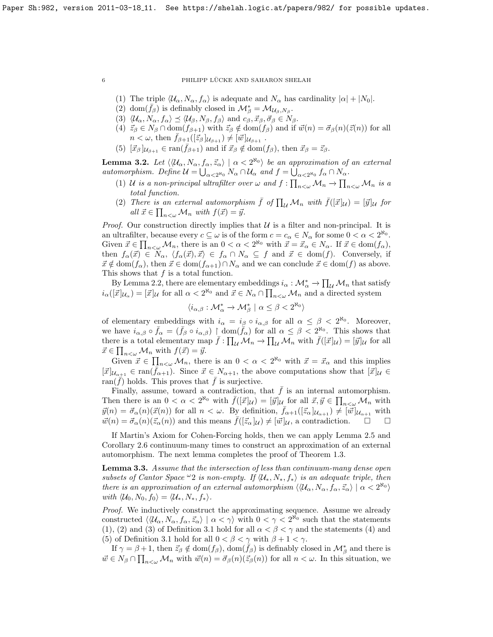6 PHILIPP LÜCKE AND SAHARON SHELAH

- <span id="page-5-0"></span>(1) The triple  $\langle \mathcal{U}_{\alpha}, N_{\alpha}, f_{\alpha} \rangle$  is adequate and  $N_{\alpha}$  has cardinality  $|\alpha| + |N_0|$ .
- <span id="page-5-1"></span>(2) dom $(\bar{f}_{\beta})$  is definably closed in  $\mathcal{M}_{\beta}^* = \mathcal{M}_{\mathcal{U}_{\beta}, N_{\beta}}$ .
- <span id="page-5-2"></span>(3)  $\langle \mathcal{U}_{\alpha}, N_{\alpha}, f_{\alpha} \rangle \preceq \langle \mathcal{U}_{\beta}, N_{\beta}, f_{\beta} \rangle$  and  $c_{\beta}, \vec{x}_{\beta}, \vec{\sigma}_{\beta} \in N_{\beta}$ .
- <span id="page-5-3"></span>(4)  $\vec{z}_{\beta} \in N_{\beta} \cap \text{dom}(f_{\beta+1})$  with  $\vec{z}_{\beta} \notin \text{dom}(f_{\beta})$  and if  $\vec{w}(n) = \vec{\sigma}_{\beta}(n)(\vec{z}(n))$  for all  $n < \omega$ , then  $f_{\beta+1}([\vec{z}_{\beta}]_{\mathcal{U}_{\beta+1}}) \neq [\vec{w}]_{\mathcal{U}_{\beta+1}}$ .
- <span id="page-5-4"></span>(5)  $[\vec{x}_{\beta}]_{U_{\beta+1}} \in \text{ran}(\bar{f}_{\beta+1})$  and if  $\vec{x}_{\beta} \notin \text{dom}(f_{\beta})$ , then  $\vec{x}_{\beta} = \vec{z}_{\beta}$ .

<span id="page-5-5"></span>**Lemma 3.2.** Let  $\langle \langle \mathcal{U}_{\alpha}, N_{\alpha}, f_{\alpha}, \vec{z}_{\alpha} \rangle \mid \alpha < 2^{\aleph_0} \rangle$  be an approximation of an external automorphism. Define  $\mathcal{U} = \bigcup_{\alpha < 2^{\aleph_0}} N_\alpha \cap \mathcal{U}_\alpha$  and  $f = \bigcup_{\alpha < 2^{\aleph_0}} f_\alpha \cap N_\alpha$ .

- (1) U is a non-principal ultrafilter over  $\omega$  and  $f: \prod_{n<\omega} M_n \to \prod_{n<\omega} M_n$  is a total function.
- (2) There is an external automorphism  $\bar{f}$  of  $\prod_{\mathcal{U}} \mathcal{M}_n$  with  $\bar{f}([\vec{x}]_{\mathcal{U}}) = [\vec{y}]_{\mathcal{U}}$  for all  $\vec{x} \in \prod_{n<\omega} \mathcal{M}_n$  with  $f(\vec{x}) = \vec{y}$ .

*Proof.* Our construction directly implies that  $U$  is a filter and non-principal. It is an ultrafilter, because every  $c \subseteq \omega$  is of the form  $c = c_{\alpha} \in N_{\alpha}$  for some  $0 < \alpha < 2^{\aleph_0}$ . Given  $\vec{x} \in \prod_{n<\omega} M_n$ , there is an  $0 < \alpha < 2^{\aleph_0}$  with  $\vec{x} = \vec{x}_\alpha \in N_\alpha$ . If  $\vec{x} \in \text{dom}(f_\alpha)$ , then  $f_{\alpha}(\vec{x}) \in N_{\alpha}$ ,  $\langle f_{\alpha}(\vec{x}), \vec{x} \rangle \in f_{\alpha} \cap N_{\alpha} \subseteq f$  and  $\vec{x} \in \text{dom}(f)$ . Conversely, if  $\vec{x} \notin \text{dom}(f_{\alpha})$ , then  $\vec{x} \in \text{dom}(f_{\alpha+1}) \cap N_{\alpha}$  and we can conclude  $\vec{x} \in \text{dom}(f)$  as above. This shows that  $f$  is a total function.

By Lemma [2.2,](#page-0-0) there are elementary embeddings  $i_{\alpha}: \mathcal{M}_{\alpha}^* \to \prod_{\mathcal{U}} \mathcal{M}_n$  that satisfy  $i_\alpha([\vec{x}]_{\mathcal{U}_\alpha}) = [\vec{x}]_{\mathcal{U}}$  for all  $\alpha < 2^{\aleph_0}$  and  $\vec{x} \in N_\alpha \cap \prod_{n < \omega} \mathcal{M}_n$  and a directed system

$$
\langle i_{\alpha,\beta}:\mathcal{M}_\alpha^*\to \mathcal{M}_\beta^*\mid \alpha\leq \beta<2^{\aleph_0}\rangle
$$

of elementary embeddings with  $i_{\alpha} = i_{\beta} \circ i_{\alpha,\beta}$  for all  $\alpha \leq \beta < 2^{\aleph_0}$ . Moreover, we have  $i_{\alpha,\beta} \circ \bar{f}_{\alpha} = (\bar{f}_{\beta} \circ i_{\alpha,\beta}) \restriction \text{dom}(\bar{f}_{\alpha})$  for all  $\alpha \leq \beta < 2^{\aleph_0}$ . This shows that there is a total elementary map  $\bar{f}: \prod_{\mathcal{U}} \mathcal{M}_n \to \prod_{\mathcal{U}} \mathcal{M}_n$  with  $\bar{f}([\vec{x}]_{\mathcal{U}}) = [\vec{y}]_{\mathcal{U}}$  for all  $\vec{x} \in \prod_{n<\omega} \mathcal{M}_n$  with  $f(\vec{x}) = \vec{y}$ .

Given  $\vec{x} \in \prod_{n<\omega} M_n$ , there is an  $0 < \alpha < 2^{\aleph_0}$  with  $\vec{x} = \vec{x}_\alpha$  and this implies  $[\vec{x}]_{\mathcal{U}_{\alpha+1}} \in \text{ran}(\bar{f}_{\alpha+1}).$  Since  $\vec{x} \in N_{\alpha+1}$ , the above computations show that  $[\vec{x}]_{\mathcal{U}} \in$ ran( $\bar{f}$ ) holds. This proves that  $\bar{f}$  is surjective.

Finally, assume, toward a contradiction, that  $\bar{f}$  is an internal automorphism. Then there is an  $0 < \alpha < 2^{\aleph_0}$  with  $\bar{f}([\vec{x}]_{\mathcal{U}}) = [\vec{y}]_{\mathcal{U}}$  for all  $\vec{x}, \vec{y} \in \prod_{n < \omega} \mathcal{M}_n$  with  $\vec{y}(n) = \vec{\sigma}_{\alpha}(n)(\vec{x}(n))$  for all  $n < \omega$ . By definition,  $\bar{f}_{\alpha+1}([\vec{z}_{\alpha}]_{\mathcal{U}_{\alpha+1}}) \neq [\vec{w}]_{\mathcal{U}_{\alpha+1}}$  with  $\vec{w}(n) = \vec{\sigma}_{\alpha}(n)(\vec{z}_{\alpha}(n))$  and this means  $\bar{f}([\vec{z}_{\alpha} |_{\mathcal{U}}) \neq [\vec{w}]_{\mathcal{U}},$  a contradiction.  $\square$ 

If Martin's Axiom for Cohen-Forcing holds, then we can apply Lemma [2.5](#page-3-0) and Corollary [2.6](#page-4-0) continuum-many times to construct an approximation of an external automorphism. The next lemma completes the proof of Theorem [1.3.](#page-1-1)

Lemma 3.3. Assume that the intersection of less than continuum-many dense open subsets of Cantor Space  $\omega_2$  is non-empty. If  $\langle \mathcal{U}_*, N_*, f_* \rangle$  is an adequate triple, then there is an approximation of an external automorphism  $\langle \langle \mathcal{U}_{\alpha}, N_{\alpha}, f_{\alpha}, \vec{z}_{\alpha} \rangle | \alpha < 2^{\aleph_0} \rangle$ with  $\langle \mathcal{U}_0, N_0, f_0 \rangle = \langle \mathcal{U}_*, N_*, f_* \rangle.$ 

Proof. We inductively construct the approximating sequence. Assume we already constructed  $\langle \langle \mathcal{U}_{\alpha}, N_{\alpha}, f_{\alpha}, \vec{z}_{\alpha} \rangle \mid \alpha < \gamma \rangle$  with  $0 < \gamma < 2^{\aleph_0}$  such that the statements [\(1\)](#page-5-0), [\(2\)](#page-5-1) and [\(3\)](#page-5-2) of Definition [3.1](#page-4-1) hold for all  $\alpha < \beta < \gamma$  and the statements [\(4\)](#page-5-3) and [\(5\)](#page-5-4) of Definition [3.1](#page-4-1) hold for all  $0 < \beta < \gamma$  with  $\beta + 1 < \gamma$ .

If  $\gamma = \beta + 1$ , then  $\vec{z}_{\beta} \notin \text{dom}(f_{\beta})$ ,  $\text{dom}(\dot{f}_{\beta})$  is definably closed in  $\mathcal{M}_{\beta}^*$  and there is  $\vec{w} \in N_\beta \cap \prod_{n<\omega} M_n$  with  $\vec{w}(n) = \vec{\sigma}_\beta(n)(\vec{z}_\beta(n))$  for all  $n < \omega$ . In this situation, we